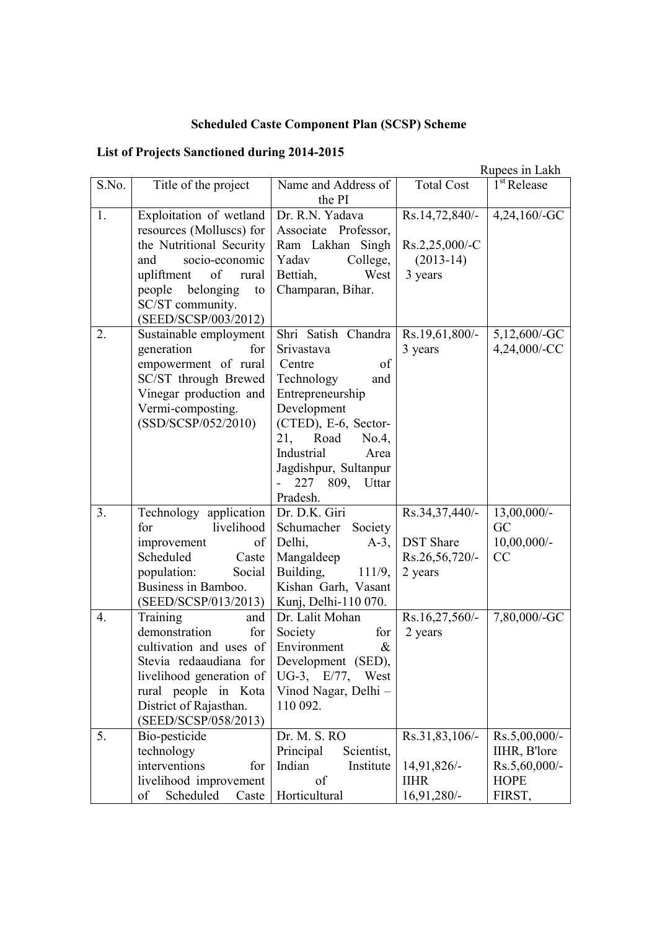## **Scheduled Caste Component Plan (SCSP) Scheme**

## **List of Projects Sanctioned during 2014-2015**

|       |                                                                                                                                                                                                          |                                                                                                                                                                                                                                                         |                                                                 | Rupees in Lakh                                                          |
|-------|----------------------------------------------------------------------------------------------------------------------------------------------------------------------------------------------------------|---------------------------------------------------------------------------------------------------------------------------------------------------------------------------------------------------------------------------------------------------------|-----------------------------------------------------------------|-------------------------------------------------------------------------|
| S.No. | Title of the project                                                                                                                                                                                     | Name and Address of<br>the PI                                                                                                                                                                                                                           | <b>Total Cost</b>                                               | $1st$ Release                                                           |
| 1.    | Exploitation of wetland<br>resources (Molluscs) for<br>the Nutritional Security<br>socio-economic<br>and<br>of rural<br>upliftment<br>people belonging<br>to<br>SC/ST community.<br>(SEED/SCSP/003/2012) | Dr. R.N. Yadava<br>Associate Professor,<br>Ram Lakhan Singh<br>College,<br>Yadav<br>West<br>Bettiah,<br>Champaran, Bihar.                                                                                                                               | Rs.14,72,840/-<br>Rs.2,25,000/-C<br>$(2013-14)$<br>3 years      | $4,24,160$ /-GC                                                         |
| 2.    | Sustainable employment<br>for<br>generation<br>empowerment of rural<br>SC/ST through Brewed<br>Vinegar production and<br>Vermi-composting.<br>(SSD/SCSP/052/2010)                                        | Shri Satish Chandra   Rs.19,61,800/-<br>Srivastava<br>of<br>Centre<br>Technology<br>and<br>Entrepreneurship<br>Development<br>(CTED), E-6, Sector-<br>Road<br>21,<br>No.4,<br>Industrial<br>Area<br>Jagdishpur, Sultanpur<br>227 809, Uttar<br>Pradesh. | 3 years                                                         | 5,12,600/-GC<br>4,24,000/-CC                                            |
| 3.    | Technology application<br>livelihood<br>for<br>improvement<br>of<br>Scheduled<br>Caste<br>population:<br>Social<br>Business in Bamboo.<br>(SEED/SCSP/013/2013)                                           | Dr. D.K. Giri<br>Schumacher Society<br>Delhi,<br>$A-3$ ,<br>Mangaldeep<br>Building,<br>111/9,<br>Kishan Garh, Vasant<br>Kunj, Delhi-110 070.                                                                                                            | Rs.34,37,440/-<br><b>DST</b> Share<br>Rs.26,56,720/-<br>2 years | 13,00,000/-<br>GC<br>$10,00,000/$ -<br>CC                               |
| 4.    | Training<br>and<br>demonstration<br>for<br>cultivation and uses of<br>Stevia redaaudiana for<br>livelihood generation of<br>rural people in Kota<br>District of Rajasthan.<br>(SEED/SCSP/058/2013)       | Dr. Lalit Mohan<br>Society<br>for<br>Environment<br>$\&$<br>Development (SED),<br>UG-3, E/77,<br>West<br>Vinod Nagar, Delhi -<br>110 092.                                                                                                               | $Rs.16,27,560/-$<br>2 years                                     | 7,80,000/-GC                                                            |
| 5.    | Bio-pesticide<br>technology<br>interventions<br>for<br>livelihood improvement<br>Scheduled<br>Caste<br>of                                                                                                | Dr. M. S. RO<br>Principal<br>Scientist,<br>Indian<br>Institute<br>of<br>Horticultural                                                                                                                                                                   | Rs.31,83,106/-<br>14,91,826/-<br><b>IIHR</b><br>16,91,280/-     | Rs.5,00,000/-<br>IIHR, B'lore<br>Rs.5,60,000/-<br><b>HOPE</b><br>FIRST, |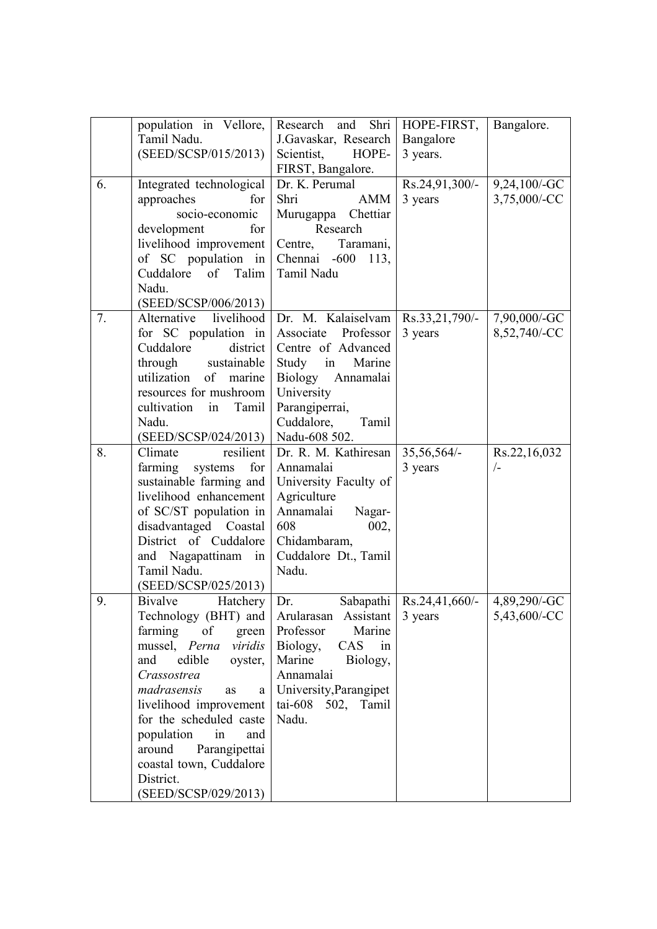|    | population in Vellore,    | Research and Shri   HOPE-FIRST,     |                                           | Bangalore.   |
|----|---------------------------|-------------------------------------|-------------------------------------------|--------------|
|    | Tamil Nadu.               | J.Gavaskar, Research                | Bangalore                                 |              |
|    | (SEED/SCSP/015/2013)      | Scientist,<br>HOPE-                 | 3 years.                                  |              |
|    |                           | FIRST, Bangalore.                   |                                           |              |
| 6. | Integrated technological  | Dr. K. Perumal                      | $Rs.24,91,300/-$                          | 9,24,100/-GC |
|    | approaches<br>for         | Shri<br>AMM                         | 3 years                                   | 3,75,000/-CC |
|    | socio-economic            | Murugappa Chettiar                  |                                           |              |
|    | for                       | Research                            |                                           |              |
|    | development               |                                     |                                           |              |
|    | livelihood improvement    | Centre, Taramani,                   |                                           |              |
|    | of SC population in       | Chennai -600<br>113,                |                                           |              |
|    | Cuddalore of Talim        | Tamil Nadu                          |                                           |              |
|    | Nadu.                     |                                     |                                           |              |
|    | (SEED/SCSP/006/2013)      |                                     |                                           |              |
| 7. | Alternative<br>livelihood | Dr. M. Kalaiselvam   Rs.33,21,790/- |                                           | 7,90,000/-GC |
|    | for SC population in      | Associate Professor                 | 3 years                                   | 8,52,740/-CC |
|    | Cuddalore                 | district   Centre of Advanced       |                                           |              |
|    | through sustainable       | Study in<br>Marine                  |                                           |              |
|    | utilization of<br>marine  | Biology Annamalai                   |                                           |              |
|    | resources for mushroom    | University                          |                                           |              |
|    | cultivation<br>in Tamil   | Parangiperrai,                      |                                           |              |
|    | Nadu.                     | Cuddalore,<br>Tamil                 |                                           |              |
|    | (SEED/SCSP/024/2013)      | Nadu-608 502.                       |                                           |              |
| 8. | resilient<br>Climate      | Dr. R. M. Kathiresan                | 35,56,564/-                               | Rs.22,16,032 |
|    | farming systems<br>for    | Annamalai                           | 3 years                                   | $\sqrt{-}$   |
|    | sustainable farming and   | University Faculty of               |                                           |              |
|    | livelihood enhancement    | Agriculture                         |                                           |              |
|    | of SC/ST population in    | Annamalai<br>Nagar-                 |                                           |              |
|    | disadvantaged Coastal     | 608<br>002,                         |                                           |              |
|    | District of Cuddalore     | Chidambaram,                        |                                           |              |
|    | and Nagapattinam in       | Cuddalore Dt., Tamil                |                                           |              |
|    | Tamil Nadu.               | Nadu.                               |                                           |              |
|    | (SEED/SCSP/025/2013)      |                                     |                                           |              |
| 9. | Bivalve<br>Hatchery       | Dr.                                 | Sabapathi   Rs.24,41,660/-   4,89,290/-GC |              |
|    | Technology (BHT) and      | Arularasan Assistant                | 3 years                                   | 5,43,600/-CC |
|    | farming<br>of<br>green    | Professor<br>Marine                 |                                           |              |
|    | mussel, Perna viridis     | Biology,<br>CAS<br>in               |                                           |              |
|    | edible<br>oyster,<br>and  | Marine Biology,                     |                                           |              |
|    | Crassostrea               | Annamalai                           |                                           |              |
|    | madrasensis<br>as<br>a    | University, Parangipet              |                                           |              |
|    | livelihood improvement    | tai-608 502, Tamil                  |                                           |              |
|    | for the scheduled caste   | Nadu.                               |                                           |              |
|    | population<br>in<br>and   |                                     |                                           |              |
|    | around<br>Parangipettai   |                                     |                                           |              |
|    | coastal town, Cuddalore   |                                     |                                           |              |
|    | District.                 |                                     |                                           |              |
|    | (SEED/SCSP/029/2013)      |                                     |                                           |              |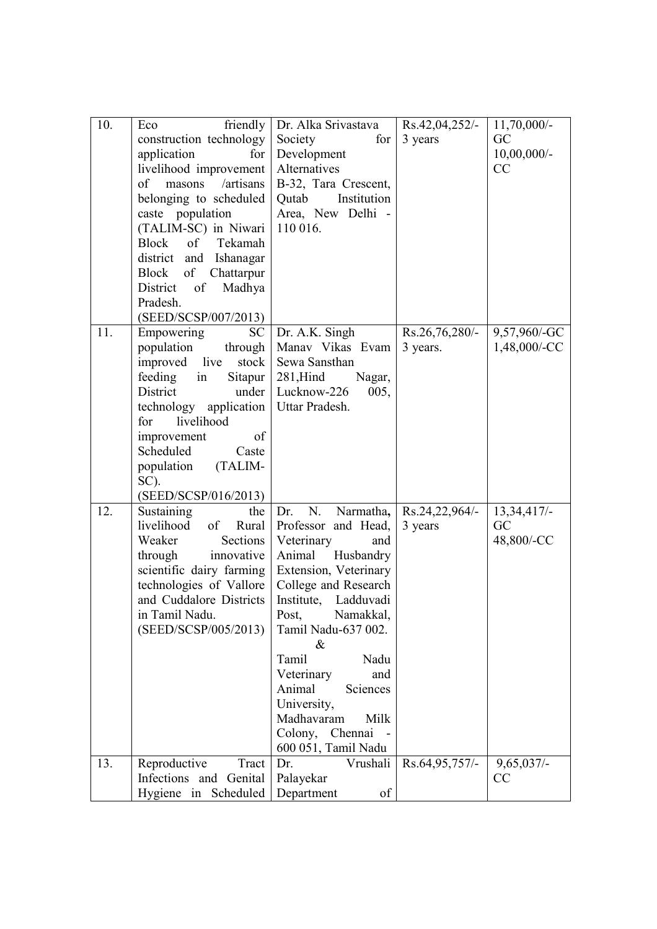| 10.               | friendly<br>Eco<br>construction technology<br>for<br>application<br>livelihood improvement<br>/artisans<br>of<br>masons<br>belonging to scheduled<br>caste population<br>(TALIM-SC) in Niwari<br>Block<br>$\circ$ f<br>Tekamah<br>district and Ishanagar<br>Block of<br>Chattarpur<br>District<br>of<br>Madhya<br>Pradesh.<br>(SEED/SCSP/007/2013) | Dr. Alka Srivastava<br>Society<br>for<br>Development<br>Alternatives<br>B-32, Tara Crescent,<br>Institution<br>Qutab<br>Area, New Delhi -<br>110 016.                                                                                                                                                                                                           | Rs.42,04,252/-<br>3 years     | $11,70,000/-$<br>GC<br>$10,00,000/$ -<br>CC |
|-------------------|----------------------------------------------------------------------------------------------------------------------------------------------------------------------------------------------------------------------------------------------------------------------------------------------------------------------------------------------------|-----------------------------------------------------------------------------------------------------------------------------------------------------------------------------------------------------------------------------------------------------------------------------------------------------------------------------------------------------------------|-------------------------------|---------------------------------------------|
| $\overline{11}$ . | SC<br>Empowering<br>population<br>through<br>stock<br>improved live<br>feeding in<br>Sitapur<br>District<br>under<br>technology application<br>livelihood<br>for<br>improvement<br>of<br>Scheduled<br>Caste<br>population<br>(TALIM-<br>SC).<br>(SEED/SCSP/016/2013)                                                                               | Dr. A.K. Singh<br>Manav Vikas Evam<br>Sewa Sansthan<br>$281,$ Hind<br>Nagar,<br>Lucknow-226<br>005,<br>Uttar Pradesh.                                                                                                                                                                                                                                           | $Rs.26,76,280/$ -<br>3 years. | 9,57,960/-GC<br>1,48,000/-CC                |
| 12.               | Sustaining<br>the<br>livelihood<br>of<br>Rural<br>Sections<br>Weaker<br>through<br>innovative<br>scientific dairy farming<br>technologies of Vallore<br>and Cuddalore Districts<br>in Tamil Nadu.<br>(SEED/SCSP/005/2013)                                                                                                                          | N.<br>Narmatha,<br>Dr.<br>Professor and Head,<br>Veterinary<br>and<br>Animal Husbandry<br>Extension, Veterinary<br>College and Research<br>Institute, Ladduvadi<br>Post,<br>Namakkal,<br>Tamil Nadu-637 002.<br>&<br>Tamil<br>Nadu<br>Veterinary<br>and<br>Animal<br>Sciences<br>University,<br>Milk<br>Madhavaram<br>Colony,<br>Chennai<br>600 051, Tamil Nadu | Rs.24,22,964/-<br>3 years     | $13,34,417/-$<br>GC<br>48,800/-CC           |
| 13.               | Reproductive<br>Tract<br>Infections and Genital<br>Hygiene in Scheduled                                                                                                                                                                                                                                                                            | Dr.<br>Vrushali<br>Palayekar<br>Department<br>of                                                                                                                                                                                                                                                                                                                | Rs.64,95,757/-                | $9,65,037/-$<br>CC                          |